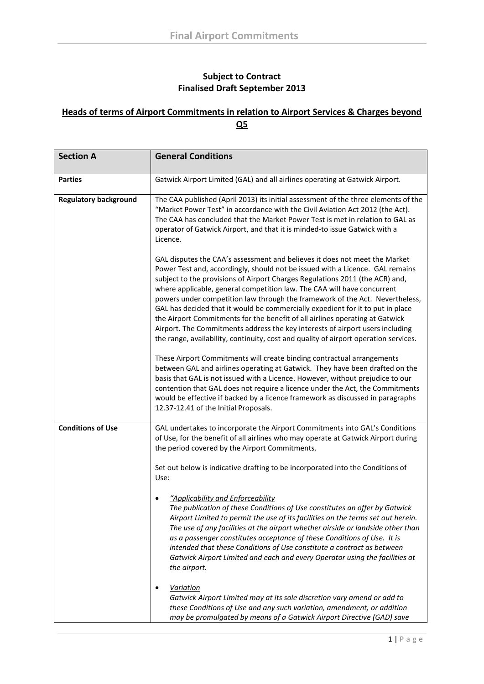## **Subject to Contract Finalised Draft September 2013**

## **Heads of terms of Airport Commitments in relation to Airport Services & Charges beyond Q5**

| <b>Section A</b>             | <b>General Conditions</b>                                                                                                                                                                                                                                                                                                                                                                                                                                                                                                                                                                                                                                                                                                                         |
|------------------------------|---------------------------------------------------------------------------------------------------------------------------------------------------------------------------------------------------------------------------------------------------------------------------------------------------------------------------------------------------------------------------------------------------------------------------------------------------------------------------------------------------------------------------------------------------------------------------------------------------------------------------------------------------------------------------------------------------------------------------------------------------|
| <b>Parties</b>               | Gatwick Airport Limited (GAL) and all airlines operating at Gatwick Airport.                                                                                                                                                                                                                                                                                                                                                                                                                                                                                                                                                                                                                                                                      |
| <b>Regulatory background</b> | The CAA published (April 2013) its initial assessment of the three elements of the<br>"Market Power Test" in accordance with the Civil Aviation Act 2012 (the Act).<br>The CAA has concluded that the Market Power Test is met in relation to GAL as<br>operator of Gatwick Airport, and that it is minded-to issue Gatwick with a<br>Licence.                                                                                                                                                                                                                                                                                                                                                                                                    |
|                              | GAL disputes the CAA's assessment and believes it does not meet the Market<br>Power Test and, accordingly, should not be issued with a Licence. GAL remains<br>subject to the provisions of Airport Charges Regulations 2011 (the ACR) and,<br>where applicable, general competition law. The CAA will have concurrent<br>powers under competition law through the framework of the Act. Nevertheless,<br>GAL has decided that it would be commercially expedient for it to put in place<br>the Airport Commitments for the benefit of all airlines operating at Gatwick<br>Airport. The Commitments address the key interests of airport users including<br>the range, availability, continuity, cost and quality of airport operation services. |
|                              | These Airport Commitments will create binding contractual arrangements<br>between GAL and airlines operating at Gatwick. They have been drafted on the<br>basis that GAL is not issued with a Licence. However, without prejudice to our<br>contention that GAL does not require a licence under the Act, the Commitments<br>would be effective if backed by a licence framework as discussed in paragraphs<br>12.37-12.41 of the Initial Proposals.                                                                                                                                                                                                                                                                                              |
| <b>Conditions of Use</b>     | GAL undertakes to incorporate the Airport Commitments into GAL's Conditions<br>of Use, for the benefit of all airlines who may operate at Gatwick Airport during<br>the period covered by the Airport Commitments.                                                                                                                                                                                                                                                                                                                                                                                                                                                                                                                                |
|                              | Set out below is indicative drafting to be incorporated into the Conditions of<br>Use:                                                                                                                                                                                                                                                                                                                                                                                                                                                                                                                                                                                                                                                            |
|                              | "Applicability and Enforceability<br>The publication of these Conditions of Use constitutes an offer by Gatwick<br>Airport Limited to permit the use of its facilities on the terms set out herein.<br>The use of any facilities at the airport whether airside or landside other than<br>as a passenger constitutes acceptance of these Conditions of Use. It is<br>intended that these Conditions of Use constitute a contract as between<br>Gatwick Airport Limited and each and every Operator using the facilities at<br>the airport.                                                                                                                                                                                                        |
|                              | <b>Variation</b><br>Gatwick Airport Limited may at its sole discretion vary amend or add to<br>these Conditions of Use and any such variation, amendment, or addition<br>may be promulgated by means of a Gatwick Airport Directive (GAD) save                                                                                                                                                                                                                                                                                                                                                                                                                                                                                                    |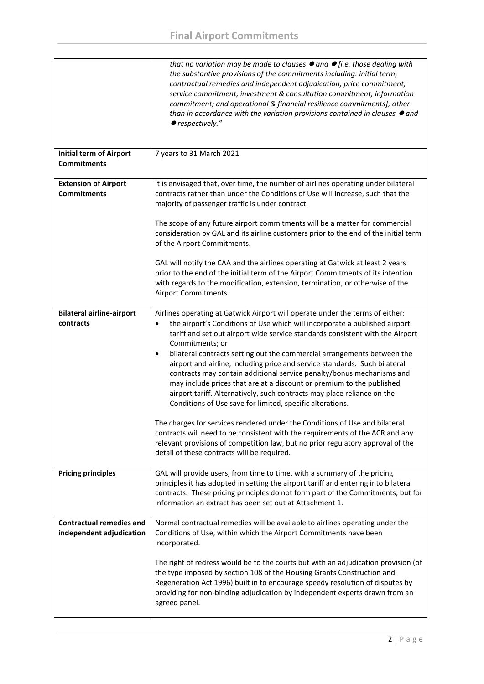|                                                             | that no variation may be made to clauses $\bullet$ and $\bullet$ [i.e. those dealing with<br>the substantive provisions of the commitments including: initial term;<br>contractual remedies and independent adjudication; price commitment;<br>service commitment; investment & consultation commitment; information<br>commitment; and operational & financial resilience commitments], other<br>than in accordance with the variation provisions contained in clauses $\bullet$ and<br>● respectively."                                                                                                                                                                       |
|-------------------------------------------------------------|---------------------------------------------------------------------------------------------------------------------------------------------------------------------------------------------------------------------------------------------------------------------------------------------------------------------------------------------------------------------------------------------------------------------------------------------------------------------------------------------------------------------------------------------------------------------------------------------------------------------------------------------------------------------------------|
| <b>Initial term of Airport</b><br><b>Commitments</b>        | 7 years to 31 March 2021                                                                                                                                                                                                                                                                                                                                                                                                                                                                                                                                                                                                                                                        |
| <b>Extension of Airport</b><br><b>Commitments</b>           | It is envisaged that, over time, the number of airlines operating under bilateral<br>contracts rather than under the Conditions of Use will increase, such that the<br>majority of passenger traffic is under contract.                                                                                                                                                                                                                                                                                                                                                                                                                                                         |
|                                                             | The scope of any future airport commitments will be a matter for commercial<br>consideration by GAL and its airline customers prior to the end of the initial term<br>of the Airport Commitments.                                                                                                                                                                                                                                                                                                                                                                                                                                                                               |
|                                                             | GAL will notify the CAA and the airlines operating at Gatwick at least 2 years<br>prior to the end of the initial term of the Airport Commitments of its intention<br>with regards to the modification, extension, termination, or otherwise of the<br>Airport Commitments.                                                                                                                                                                                                                                                                                                                                                                                                     |
| <b>Bilateral airline-airport</b><br>contracts               | Airlines operating at Gatwick Airport will operate under the terms of either:<br>the airport's Conditions of Use which will incorporate a published airport<br>$\bullet$<br>tariff and set out airport wide service standards consistent with the Airport<br>Commitments; or<br>bilateral contracts setting out the commercial arrangements between the<br>$\bullet$<br>airport and airline, including price and service standards. Such bilateral<br>contracts may contain additional service penalty/bonus mechanisms and<br>may include prices that are at a discount or premium to the published<br>airport tariff. Alternatively, such contracts may place reliance on the |
|                                                             | Conditions of Use save for limited, specific alterations.<br>The charges for services rendered under the Conditions of Use and bilateral<br>contracts will need to be consistent with the requirements of the ACR and any<br>relevant provisions of competition law, but no prior regulatory approval of the<br>detail of these contracts will be required.                                                                                                                                                                                                                                                                                                                     |
| <b>Pricing principles</b>                                   | GAL will provide users, from time to time, with a summary of the pricing<br>principles it has adopted in setting the airport tariff and entering into bilateral<br>contracts. These pricing principles do not form part of the Commitments, but for<br>information an extract has been set out at Attachment 1.                                                                                                                                                                                                                                                                                                                                                                 |
| <b>Contractual remedies and</b><br>independent adjudication | Normal contractual remedies will be available to airlines operating under the<br>Conditions of Use, within which the Airport Commitments have been<br>incorporated.                                                                                                                                                                                                                                                                                                                                                                                                                                                                                                             |
|                                                             | The right of redress would be to the courts but with an adjudication provision (of<br>the type imposed by section 108 of the Housing Grants Construction and<br>Regeneration Act 1996) built in to encourage speedy resolution of disputes by<br>providing for non-binding adjudication by independent experts drawn from an<br>agreed panel.                                                                                                                                                                                                                                                                                                                                   |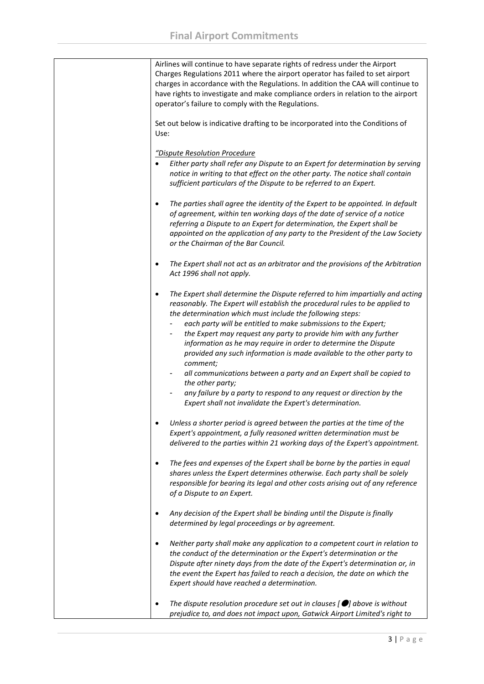| Airlines will continue to have separate rights of redress under the Airport<br>Charges Regulations 2011 where the airport operator has failed to set airport<br>charges in accordance with the Regulations. In addition the CAA will continue to<br>have rights to investigate and make compliance orders in relation to the airport<br>operator's failure to comply with the Regulations.                                                                                                                                                                                                                                                                                                                                                                         |
|--------------------------------------------------------------------------------------------------------------------------------------------------------------------------------------------------------------------------------------------------------------------------------------------------------------------------------------------------------------------------------------------------------------------------------------------------------------------------------------------------------------------------------------------------------------------------------------------------------------------------------------------------------------------------------------------------------------------------------------------------------------------|
| Set out below is indicative drafting to be incorporated into the Conditions of<br>Use:                                                                                                                                                                                                                                                                                                                                                                                                                                                                                                                                                                                                                                                                             |
| "Dispute Resolution Procedure                                                                                                                                                                                                                                                                                                                                                                                                                                                                                                                                                                                                                                                                                                                                      |
| Either party shall refer any Dispute to an Expert for determination by serving<br>notice in writing to that effect on the other party. The notice shall contain<br>sufficient particulars of the Dispute to be referred to an Expert.                                                                                                                                                                                                                                                                                                                                                                                                                                                                                                                              |
| The parties shall agree the identity of the Expert to be appointed. In default<br>$\bullet$<br>of agreement, within ten working days of the date of service of a notice<br>referring a Dispute to an Expert for determination, the Expert shall be<br>appointed on the application of any party to the President of the Law Society<br>or the Chairman of the Bar Council.                                                                                                                                                                                                                                                                                                                                                                                         |
| The Expert shall not act as an arbitrator and the provisions of the Arbitration<br>Act 1996 shall not apply.                                                                                                                                                                                                                                                                                                                                                                                                                                                                                                                                                                                                                                                       |
| The Expert shall determine the Dispute referred to him impartially and acting<br>$\bullet$<br>reasonably. The Expert will establish the procedural rules to be applied to<br>the determination which must include the following steps:<br>each party will be entitled to make submissions to the Expert;<br>the Expert may request any party to provide him with any further<br>information as he may require in order to determine the Dispute<br>provided any such information is made available to the other party to<br>comment;<br>all communications between a party and an Expert shall be copied to<br>the other party;<br>any failure by a party to respond to any request or direction by the<br>Expert shall not invalidate the Expert's determination. |
| Unless a shorter period is agreed between the parties at the time of the<br>Expert's appointment, a fully reasoned written determination must be<br>delivered to the parties within 21 working days of the Expert's appointment.                                                                                                                                                                                                                                                                                                                                                                                                                                                                                                                                   |
| The fees and expenses of the Expert shall be borne by the parties in equal<br>٠<br>shares unless the Expert determines otherwise. Each party shall be solely<br>responsible for bearing its legal and other costs arising out of any reference<br>of a Dispute to an Expert.                                                                                                                                                                                                                                                                                                                                                                                                                                                                                       |
| Any decision of the Expert shall be binding until the Dispute is finally<br>٠<br>determined by legal proceedings or by agreement.                                                                                                                                                                                                                                                                                                                                                                                                                                                                                                                                                                                                                                  |
| Neither party shall make any application to a competent court in relation to<br>٠<br>the conduct of the determination or the Expert's determination or the<br>Dispute after ninety days from the date of the Expert's determination or, in<br>the event the Expert has failed to reach a decision, the date on which the<br>Expert should have reached a determination.                                                                                                                                                                                                                                                                                                                                                                                            |
| The dispute resolution procedure set out in clauses $[$ $\bullet]$ above is without<br>٠<br>prejudice to, and does not impact upon, Gatwick Airport Limited's right to                                                                                                                                                                                                                                                                                                                                                                                                                                                                                                                                                                                             |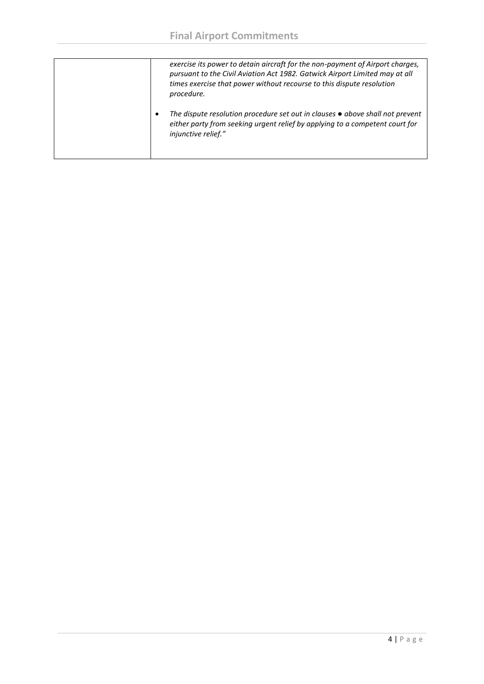| exercise its power to detain aircraft for the non-payment of Airport charges,<br>pursuant to the Civil Aviation Act 1982. Gatwick Airport Limited may at all<br>times exercise that power without recourse to this dispute resolution<br>procedure. |
|-----------------------------------------------------------------------------------------------------------------------------------------------------------------------------------------------------------------------------------------------------|
| The dispute resolution procedure set out in clauses $\bullet$ above shall not prevent<br>$\bullet$<br>either party from seeking urgent relief by applying to a competent court for<br>injunctive relief."                                           |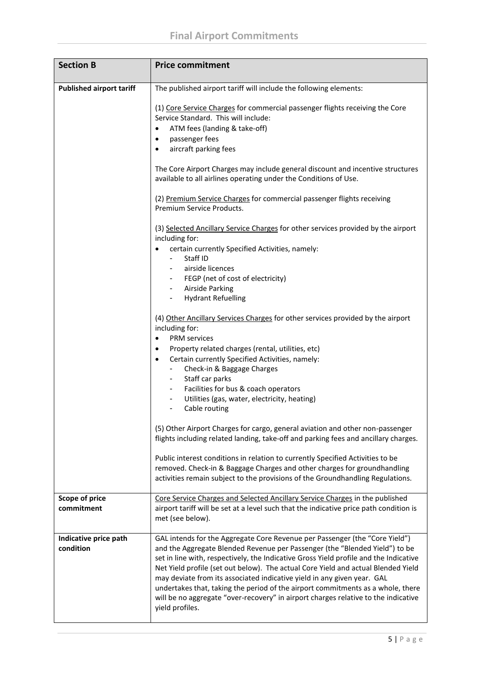| <b>Section B</b>                    | <b>Price commitment</b>                                                                                                                                                                                                                                                                                                                                                                                                                                                                                                                                                                                         |
|-------------------------------------|-----------------------------------------------------------------------------------------------------------------------------------------------------------------------------------------------------------------------------------------------------------------------------------------------------------------------------------------------------------------------------------------------------------------------------------------------------------------------------------------------------------------------------------------------------------------------------------------------------------------|
| <b>Published airport tariff</b>     | The published airport tariff will include the following elements:                                                                                                                                                                                                                                                                                                                                                                                                                                                                                                                                               |
|                                     | (1) Core Service Charges for commercial passenger flights receiving the Core<br>Service Standard. This will include:<br>ATM fees (landing & take-off)<br>passenger fees<br>٠<br>aircraft parking fees                                                                                                                                                                                                                                                                                                                                                                                                           |
|                                     | The Core Airport Charges may include general discount and incentive structures<br>available to all airlines operating under the Conditions of Use.                                                                                                                                                                                                                                                                                                                                                                                                                                                              |
|                                     | (2) Premium Service Charges for commercial passenger flights receiving<br>Premium Service Products.                                                                                                                                                                                                                                                                                                                                                                                                                                                                                                             |
|                                     | (3) Selected Ancillary Service Charges for other services provided by the airport<br>including for:<br>certain currently Specified Activities, namely:<br>Staff ID                                                                                                                                                                                                                                                                                                                                                                                                                                              |
|                                     | airside licences<br>FEGP (net of cost of electricity)<br>Airside Parking<br>$\sim 100$<br><b>Hydrant Refuelling</b><br>$\blacksquare$                                                                                                                                                                                                                                                                                                                                                                                                                                                                           |
|                                     | (4) Other Ancillary Services Charges for other services provided by the airport<br>including for:                                                                                                                                                                                                                                                                                                                                                                                                                                                                                                               |
|                                     | <b>PRM</b> services<br>$\bullet$<br>Property related charges (rental, utilities, etc)<br>٠<br>Certain currently Specified Activities, namely:<br>$\bullet$<br>Check-in & Baggage Charges<br>Staff car parks<br>$\sim$<br>Facilities for bus & coach operators<br>$\sim$ 100 $\mu$                                                                                                                                                                                                                                                                                                                               |
|                                     | Utilities (gas, water, electricity, heating)<br>٠<br>Cable routing                                                                                                                                                                                                                                                                                                                                                                                                                                                                                                                                              |
|                                     | (5) Other Airport Charges for cargo, general aviation and other non-passenger<br>flights including related landing, take-off and parking fees and ancillary charges.                                                                                                                                                                                                                                                                                                                                                                                                                                            |
|                                     | Public interest conditions in relation to currently Specified Activities to be<br>removed. Check-in & Baggage Charges and other charges for groundhandling<br>activities remain subject to the provisions of the Groundhandling Regulations.                                                                                                                                                                                                                                                                                                                                                                    |
| <b>Scope of price</b><br>commitment | Core Service Charges and Selected Ancillary Service Charges in the published<br>airport tariff will be set at a level such that the indicative price path condition is<br>met (see below).                                                                                                                                                                                                                                                                                                                                                                                                                      |
| Indicative price path<br>condition  | GAL intends for the Aggregate Core Revenue per Passenger (the "Core Yield")<br>and the Aggregate Blended Revenue per Passenger (the "Blended Yield") to be<br>set in line with, respectively, the Indicative Gross Yield profile and the Indicative<br>Net Yield profile (set out below). The actual Core Yield and actual Blended Yield<br>may deviate from its associated indicative yield in any given year. GAL<br>undertakes that, taking the period of the airport commitments as a whole, there<br>will be no aggregate "over-recovery" in airport charges relative to the indicative<br>yield profiles. |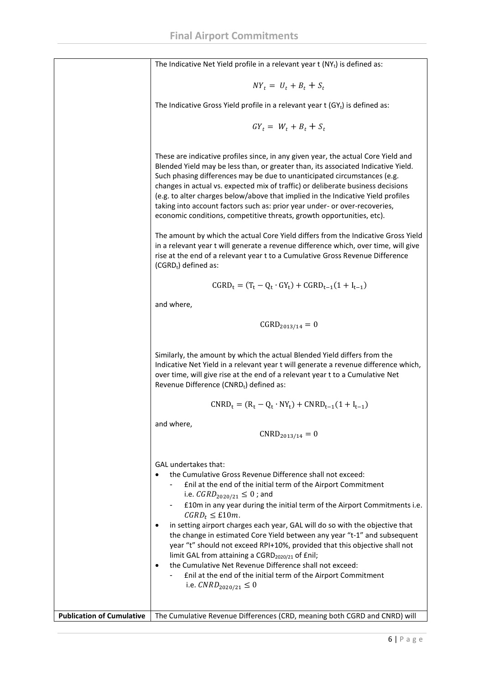The Indicative Net Yield profile in a relevant year  $t$  (NY<sub>t</sub>) is defined as:

$$
NY_t = U_t + B_t + S_t
$$

The Indicative Gross Yield profile in a relevant year  $t$  (GY<sub>t</sub>) is defined as:

$$
GY_t = W_t + B_t + S_t
$$

These are indicative profiles since, in any given year, the actual Core Yield and Blended Yield may be less than, or greater than, its associated Indicative Yield. Such phasing differences may be due to unanticipated circumstances (e.g. changes in actual vs. expected mix of traffic) or deliberate business decisions (e.g. to alter charges below/above that implied in the Indicative Yield profiles taking into account factors such as: prior year under- or over-recoveries, economic conditions, competitive threats, growth opportunities, etc).

The amount by which the actual Core Yield differs from the Indicative Gross Yield in a relevant year t will generate a revenue difference which, over time, will give rise at the end of a relevant year t to a Cumulative Gross Revenue Difference  $(CGRD_t)$  defined as:

$$
CGRD_t = (T_t - Q_t \cdot GY_t) + CGRD_{t-1}(1 + I_{t-1})
$$

and where,

$$
CGRD_{2013/14} = 0
$$

Similarly, the amount by which the actual Blended Yield differs from the Indicative Net Yield in a relevant year t will generate a revenue difference which, over time, will give rise at the end of a relevant year t to a Cumulative Net Revenue Difference (CNRD<sub>t</sub>) defined as:

$$
CNRD_t = (R_t - Q_t \cdot NY_t) + CNRD_{t-1}(1 + I_{t-1})
$$

and where,

$$
CNRD_{2013/14} = 0
$$

GAL undertakes that:

- the Cumulative Gross Revenue Difference shall not exceed:
	- £nil at the end of the initial term of the Airport Commitment i.e.  $\text{GRD}_{2020/21} \leq 0$ ; and
	- £10m in any year during the initial term of the Airport Commitments i.e.  $CGRD_t \leq \text{\pounds}10m$ .
- in setting airport charges each year, GAL will do so with the objective that the change in estimated Core Yield between any year "t-1" and subsequent year "t" should not exceed RPI+10%, provided that this objective shall not limit GAL from attaining a CGRD $_{2020/21}$  of £nil;
- the Cumulative Net Revenue Difference shall not exceed:
	- £nil at the end of the initial term of the Airport Commitment i.e.  $CNRD_{2020/21} \leq 0$

**Publication of Cumulative | The Cumulative Revenue Differences (CRD, meaning both CGRD and CNRD) will**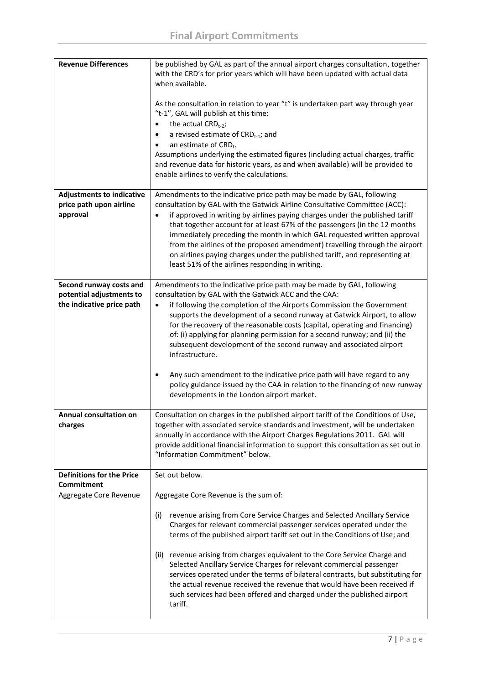| <b>Revenue Differences</b>                            | be published by GAL as part of the annual airport charges consultation, together<br>with the CRD's for prior years which will have been updated with actual data<br>when available.                                                                                                                                                                                                                                                                                 |
|-------------------------------------------------------|---------------------------------------------------------------------------------------------------------------------------------------------------------------------------------------------------------------------------------------------------------------------------------------------------------------------------------------------------------------------------------------------------------------------------------------------------------------------|
|                                                       | As the consultation in relation to year "t" is undertaken part way through year<br>"t-1", GAL will publish at this time:<br>the actual $CRD_{t-2}$ ;<br>a revised estimate of CRD <sub>t-1</sub> ; and<br>$\bullet$<br>an estimate of $CRD_t$ .                                                                                                                                                                                                                     |
|                                                       | Assumptions underlying the estimated figures (including actual charges, traffic<br>and revenue data for historic years, as and when available) will be provided to<br>enable airlines to verify the calculations.                                                                                                                                                                                                                                                   |
| <b>Adjustments to indicative</b>                      | Amendments to the indicative price path may be made by GAL, following                                                                                                                                                                                                                                                                                                                                                                                               |
| price path upon airline                               | consultation by GAL with the Gatwick Airline Consultative Committee (ACC):                                                                                                                                                                                                                                                                                                                                                                                          |
| approval                                              | if approved in writing by airlines paying charges under the published tariff<br>$\bullet$<br>that together account for at least 67% of the passengers (in the 12 months<br>immediately preceding the month in which GAL requested written approval<br>from the airlines of the proposed amendment) travelling through the airport<br>on airlines paying charges under the published tariff, and representing at<br>least 51% of the airlines responding in writing. |
| Second runway costs and                               | Amendments to the indicative price path may be made by GAL, following                                                                                                                                                                                                                                                                                                                                                                                               |
| potential adjustments to<br>the indicative price path | consultation by GAL with the Gatwick ACC and the CAA:                                                                                                                                                                                                                                                                                                                                                                                                               |
|                                                       | if following the completion of the Airports Commission the Government<br>$\bullet$<br>supports the development of a second runway at Gatwick Airport, to allow<br>for the recovery of the reasonable costs (capital, operating and financing)<br>of: (i) applying for planning permission for a second runway; and (ii) the<br>subsequent development of the second runway and associated airport<br>infrastructure.                                                |
|                                                       | Any such amendment to the indicative price path will have regard to any<br>$\bullet$<br>policy guidance issued by the CAA in relation to the financing of new runway<br>developments in the London airport market.                                                                                                                                                                                                                                                  |
| Annual consultation on<br>charges                     | Consultation on charges in the published airport tariff of the Conditions of Use,<br>together with associated service standards and investment, will be undertaken<br>annually in accordance with the Airport Charges Regulations 2011. GAL will<br>provide additional financial information to support this consultation as set out in<br>"Information Commitment" below.                                                                                          |
| <b>Definitions for the Price</b><br>Commitment        | Set out below.                                                                                                                                                                                                                                                                                                                                                                                                                                                      |
| Aggregate Core Revenue                                | Aggregate Core Revenue is the sum of:                                                                                                                                                                                                                                                                                                                                                                                                                               |
|                                                       | revenue arising from Core Service Charges and Selected Ancillary Service<br>(i)<br>Charges for relevant commercial passenger services operated under the<br>terms of the published airport tariff set out in the Conditions of Use; and                                                                                                                                                                                                                             |
|                                                       | revenue arising from charges equivalent to the Core Service Charge and<br>(ii)<br>Selected Ancillary Service Charges for relevant commercial passenger<br>services operated under the terms of bilateral contracts, but substituting for<br>the actual revenue received the revenue that would have been received if<br>such services had been offered and charged under the published airport<br>tariff.                                                           |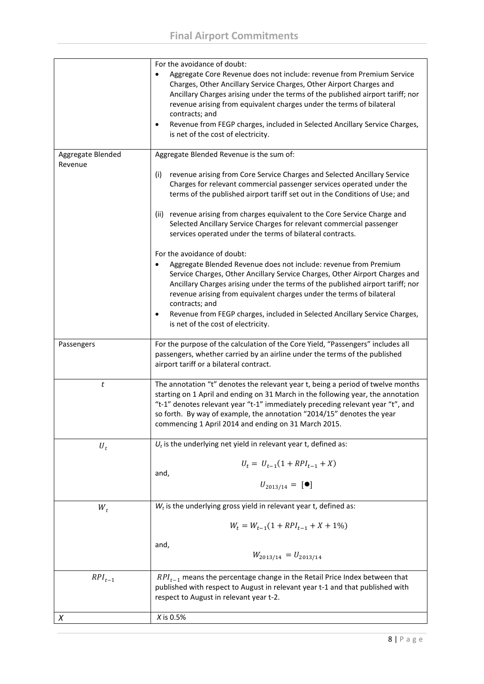|                              | For the avoidance of doubt:                                                                                                                                                                                                                                                                                                                                                             |
|------------------------------|-----------------------------------------------------------------------------------------------------------------------------------------------------------------------------------------------------------------------------------------------------------------------------------------------------------------------------------------------------------------------------------------|
|                              | Aggregate Core Revenue does not include: revenue from Premium Service<br>Charges, Other Ancillary Service Charges, Other Airport Charges and<br>Ancillary Charges arising under the terms of the published airport tariff; nor<br>revenue arising from equivalent charges under the terms of bilateral<br>contracts; and                                                                |
|                              | Revenue from FEGP charges, included in Selected Ancillary Service Charges,<br>$\bullet$<br>is net of the cost of electricity.                                                                                                                                                                                                                                                           |
| Aggregate Blended<br>Revenue | Aggregate Blended Revenue is the sum of:                                                                                                                                                                                                                                                                                                                                                |
|                              | revenue arising from Core Service Charges and Selected Ancillary Service<br>(i)<br>Charges for relevant commercial passenger services operated under the<br>terms of the published airport tariff set out in the Conditions of Use; and                                                                                                                                                 |
|                              | revenue arising from charges equivalent to the Core Service Charge and<br>(ii)<br>Selected Ancillary Service Charges for relevant commercial passenger<br>services operated under the terms of bilateral contracts.                                                                                                                                                                     |
|                              | For the avoidance of doubt:<br>Aggregate Blended Revenue does not include: revenue from Premium<br>$\bullet$<br>Service Charges, Other Ancillary Service Charges, Other Airport Charges and<br>Ancillary Charges arising under the terms of the published airport tariff; nor                                                                                                           |
|                              | revenue arising from equivalent charges under the terms of bilateral<br>contracts; and                                                                                                                                                                                                                                                                                                  |
|                              | Revenue from FEGP charges, included in Selected Ancillary Service Charges,<br>$\bullet$<br>is net of the cost of electricity.                                                                                                                                                                                                                                                           |
| Passengers                   | For the purpose of the calculation of the Core Yield, "Passengers" includes all<br>passengers, whether carried by an airline under the terms of the published<br>airport tariff or a bilateral contract.                                                                                                                                                                                |
| t                            | The annotation "t" denotes the relevant year t, being a period of twelve months<br>starting on 1 April and ending on 31 March in the following year, the annotation<br>"t-1" denotes relevant year "t-1" immediately preceding relevant year "t", and<br>so forth. By way of example, the annotation "2014/15" denotes the year<br>commencing 1 April 2014 and ending on 31 March 2015. |
| $U_t$                        | $U_t$ is the underlying net yield in relevant year t, defined as:                                                                                                                                                                                                                                                                                                                       |
|                              | $U_t = U_{t-1}(1 + RPI_{t-1} + X)$<br>and,<br>$U_{2013/14} = [\bullet]$                                                                                                                                                                                                                                                                                                                 |
| $W_t$                        | $W_t$ is the underlying gross yield in relevant year t, defined as:                                                                                                                                                                                                                                                                                                                     |
|                              | $W_t = W_{t-1}(1 + RPI_{t-1} + X + 1\%)$                                                                                                                                                                                                                                                                                                                                                |
|                              | and,<br>$W_{2013/14} = U_{2013/14}$                                                                                                                                                                                                                                                                                                                                                     |
| $RPI_{t-1}$                  | $RPI_{t-1}$ means the percentage change in the Retail Price Index between that<br>published with respect to August in relevant year t-1 and that published with<br>respect to August in relevant year t-2.                                                                                                                                                                              |
| Х                            | <i>X</i> is 0.5%                                                                                                                                                                                                                                                                                                                                                                        |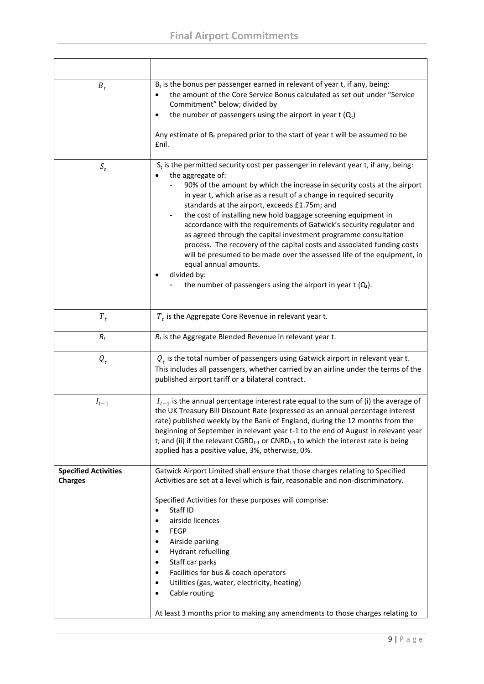| $B_t$                                         | $B_t$ is the bonus per passenger earned in relevant of year t, if any, being:<br>the amount of the Core Service Bonus calculated as set out under "Service<br>Commitment" below; divided by<br>the number of passengers using the airport in year $t(Q_t)$<br>Any estimate of $B_t$ prepared prior to the start of year t will be assumed to be<br>£nil.                                                                                                                                                                                                                                                                                                                                                                                                                                   |
|-----------------------------------------------|--------------------------------------------------------------------------------------------------------------------------------------------------------------------------------------------------------------------------------------------------------------------------------------------------------------------------------------------------------------------------------------------------------------------------------------------------------------------------------------------------------------------------------------------------------------------------------------------------------------------------------------------------------------------------------------------------------------------------------------------------------------------------------------------|
| $S_t$                                         | $S_t$ is the permitted security cost per passenger in relevant year t, if any, being:<br>the aggregate of:<br>90% of the amount by which the increase in security costs at the airport<br>in year t, which arise as a result of a change in required security<br>standards at the airport, exceeds £1.75m; and<br>the cost of installing new hold baggage screening equipment in<br>accordance with the requirements of Gatwick's security regulator and<br>as agreed through the capital investment programme consultation<br>process. The recovery of the capital costs and associated funding costs<br>will be presumed to be made over the assessed life of the equipment, in<br>equal annual amounts.<br>divided by:<br>the number of passengers using the airport in year $t(Q_t)$ . |
| $T_t$                                         | $T_t$ is the Aggregate Core Revenue in relevant year t.                                                                                                                                                                                                                                                                                                                                                                                                                                                                                                                                                                                                                                                                                                                                    |
| $R_t$                                         | $R_t$ is the Aggregate Blended Revenue in relevant year t.                                                                                                                                                                                                                                                                                                                                                                                                                                                                                                                                                                                                                                                                                                                                 |
| $Q_t$                                         | $Q_t$ is the total number of passengers using Gatwick airport in relevant year t.<br>This includes all passengers, whether carried by an airline under the terms of the<br>published airport tariff or a bilateral contract.                                                                                                                                                                                                                                                                                                                                                                                                                                                                                                                                                               |
| $I_{t-1}$                                     | $I_{t-1}$ is the annual percentage interest rate equal to the sum of (i) the average of<br>the UK Treasury Bill Discount Rate (expressed as an annual percentage interest<br>rate) published weekly by the Bank of England, during the 12 months from the<br>beginning of September in relevant year t-1 to the end of August in relevant year<br>t; and (ii) if the relevant $CGRD_{t-1}$ or $CNRD_{t-1}$ to which the interest rate is being<br>applied has a positive value, 3%, otherwise, 0%.                                                                                                                                                                                                                                                                                         |
| <b>Specified Activities</b><br><b>Charges</b> | Gatwick Airport Limited shall ensure that those charges relating to Specified<br>Activities are set at a level which is fair, reasonable and non-discriminatory.<br>Specified Activities for these purposes will comprise:<br>Staff ID<br>airside licences<br><b>FEGP</b><br>$\bullet$<br>Airside parking<br><b>Hydrant refuelling</b><br>$\bullet$<br>Staff car parks<br>$\bullet$<br>Facilities for bus & coach operators<br>٠<br>Utilities (gas, water, electricity, heating)<br>٠<br>Cable routing<br>$\bullet$<br>At least 3 months prior to making any amendments to those charges relating to                                                                                                                                                                                       |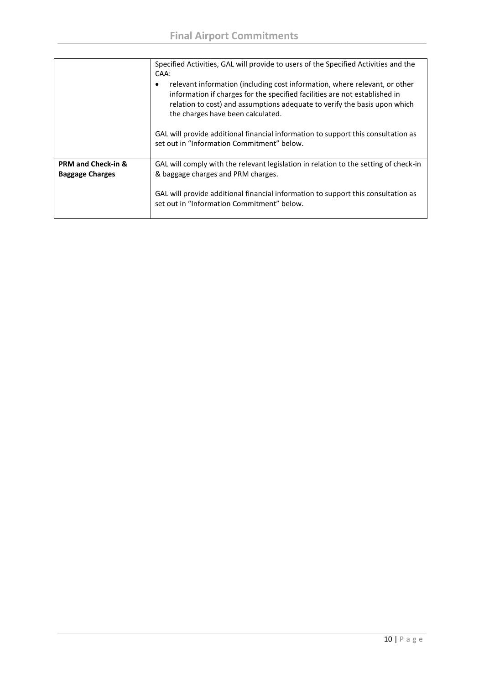|                               | Specified Activities, GAL will provide to users of the Specified Activities and the<br>CAA:                                                                                                                                                                                |
|-------------------------------|----------------------------------------------------------------------------------------------------------------------------------------------------------------------------------------------------------------------------------------------------------------------------|
|                               | relevant information (including cost information, where relevant, or other<br>information if charges for the specified facilities are not established in<br>relation to cost) and assumptions adequate to verify the basis upon which<br>the charges have been calculated. |
|                               | GAL will provide additional financial information to support this consultation as<br>set out in "Information Commitment" below.                                                                                                                                            |
| <b>PRM and Check-in &amp;</b> | GAL will comply with the relevant legislation in relation to the setting of check-in                                                                                                                                                                                       |
| <b>Baggage Charges</b>        | & baggage charges and PRM charges.                                                                                                                                                                                                                                         |
|                               | GAL will provide additional financial information to support this consultation as<br>set out in "Information Commitment" below.                                                                                                                                            |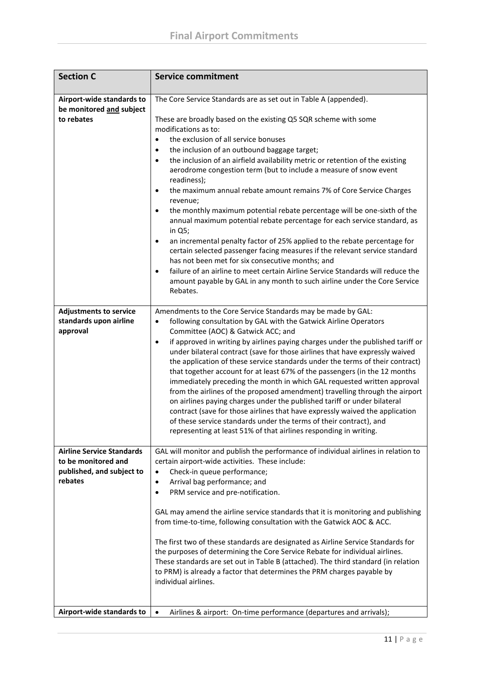| <b>Section C</b>                                                                                | <b>Service commitment</b>                                                                                                                                                                                                                                                                                                                                                                                                                                                                                                                                                                                                                                                                                                                                                                                                                                                                                                                                                                                                                                                                                                                                            |
|-------------------------------------------------------------------------------------------------|----------------------------------------------------------------------------------------------------------------------------------------------------------------------------------------------------------------------------------------------------------------------------------------------------------------------------------------------------------------------------------------------------------------------------------------------------------------------------------------------------------------------------------------------------------------------------------------------------------------------------------------------------------------------------------------------------------------------------------------------------------------------------------------------------------------------------------------------------------------------------------------------------------------------------------------------------------------------------------------------------------------------------------------------------------------------------------------------------------------------------------------------------------------------|
| Airport-wide standards to<br>be monitored and subject<br>to rebates                             | The Core Service Standards are as set out in Table A (appended).<br>These are broadly based on the existing Q5 SQR scheme with some<br>modifications as to:<br>the exclusion of all service bonuses<br>$\bullet$<br>the inclusion of an outbound baggage target;<br>$\bullet$<br>the inclusion of an airfield availability metric or retention of the existing<br>$\bullet$<br>aerodrome congestion term (but to include a measure of snow event<br>readiness);<br>the maximum annual rebate amount remains 7% of Core Service Charges<br>$\bullet$<br>revenue;<br>the monthly maximum potential rebate percentage will be one-sixth of the<br>$\bullet$<br>annual maximum potential rebate percentage for each service standard, as<br>in Q5;<br>an incremental penalty factor of 25% applied to the rebate percentage for<br>$\bullet$<br>certain selected passenger facing measures if the relevant service standard<br>has not been met for six consecutive months; and<br>failure of an airline to meet certain Airline Service Standards will reduce the<br>$\bullet$<br>amount payable by GAL in any month to such airline under the Core Service<br>Rebates. |
| <b>Adjustments to service</b><br>standards upon airline<br>approval                             | Amendments to the Core Service Standards may be made by GAL:<br>following consultation by GAL with the Gatwick Airline Operators<br>$\bullet$<br>Committee (AOC) & Gatwick ACC; and<br>if approved in writing by airlines paying charges under the published tariff or<br>$\bullet$<br>under bilateral contract (save for those airlines that have expressly waived<br>the application of these service standards under the terms of their contract)<br>that together account for at least 67% of the passengers (in the 12 months<br>immediately preceding the month in which GAL requested written approval<br>from the airlines of the proposed amendment) travelling through the airport<br>on airlines paying charges under the published tariff or under bilateral<br>contract (save for those airlines that have expressly waived the application<br>of these service standards under the terms of their contract), and<br>representing at least 51% of that airlines responding in writing.                                                                                                                                                                  |
| <b>Airline Service Standards</b><br>to be monitored and<br>published, and subject to<br>rebates | GAL will monitor and publish the performance of individual airlines in relation to<br>certain airport-wide activities. These include:<br>Check-in queue performance;<br>$\bullet$<br>Arrival bag performance; and<br>$\bullet$<br>PRM service and pre-notification.<br>$\bullet$<br>GAL may amend the airline service standards that it is monitoring and publishing<br>from time-to-time, following consultation with the Gatwick AOC & ACC.<br>The first two of these standards are designated as Airline Service Standards for<br>the purposes of determining the Core Service Rebate for individual airlines.<br>These standards are set out in Table B (attached). The third standard (in relation<br>to PRM) is already a factor that determines the PRM charges payable by<br>individual airlines.                                                                                                                                                                                                                                                                                                                                                            |
| Airport-wide standards to                                                                       | $\bullet$<br>Airlines & airport: On-time performance (departures and arrivals);                                                                                                                                                                                                                                                                                                                                                                                                                                                                                                                                                                                                                                                                                                                                                                                                                                                                                                                                                                                                                                                                                      |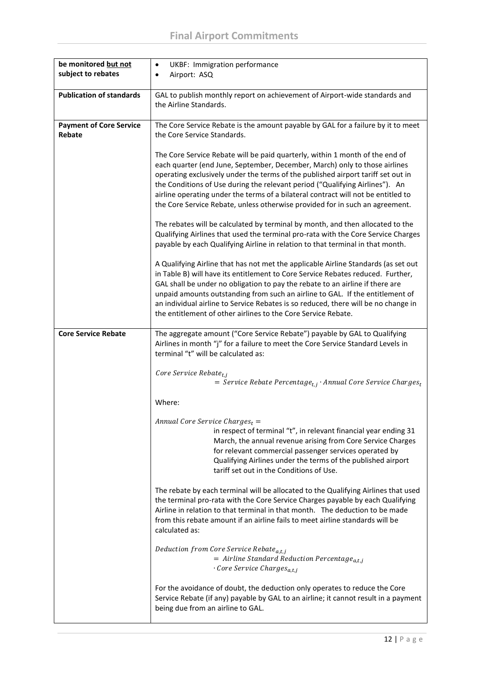| be monitored but not            | <b>UKBF: Immigration performance</b><br>$\bullet$                                                                                                                 |
|---------------------------------|-------------------------------------------------------------------------------------------------------------------------------------------------------------------|
| subject to rebates              | Airport: ASQ<br>$\bullet$                                                                                                                                         |
|                                 |                                                                                                                                                                   |
| <b>Publication of standards</b> | GAL to publish monthly report on achievement of Airport-wide standards and                                                                                        |
|                                 | the Airline Standards.                                                                                                                                            |
|                                 |                                                                                                                                                                   |
| <b>Payment of Core Service</b>  | The Core Service Rebate is the amount payable by GAL for a failure by it to meet                                                                                  |
| Rebate                          | the Core Service Standards.                                                                                                                                       |
|                                 |                                                                                                                                                                   |
|                                 | The Core Service Rebate will be paid quarterly, within 1 month of the end of                                                                                      |
|                                 | each quarter (end June, September, December, March) only to those airlines                                                                                        |
|                                 | operating exclusively under the terms of the published airport tariff set out in                                                                                  |
|                                 | the Conditions of Use during the relevant period ("Qualifying Airlines"). An<br>airline operating under the terms of a bilateral contract will not be entitled to |
|                                 | the Core Service Rebate, unless otherwise provided for in such an agreement.                                                                                      |
|                                 |                                                                                                                                                                   |
|                                 | The rebates will be calculated by terminal by month, and then allocated to the                                                                                    |
|                                 | Qualifying Airlines that used the terminal pro-rata with the Core Service Charges                                                                                 |
|                                 | payable by each Qualifying Airline in relation to that terminal in that month.                                                                                    |
|                                 |                                                                                                                                                                   |
|                                 | A Qualifying Airline that has not met the applicable Airline Standards (as set out                                                                                |
|                                 | in Table B) will have its entitlement to Core Service Rebates reduced. Further,                                                                                   |
|                                 | GAL shall be under no obligation to pay the rebate to an airline if there are                                                                                     |
|                                 | unpaid amounts outstanding from such an airline to GAL. If the entitlement of                                                                                     |
|                                 | an individual airline to Service Rebates is so reduced, there will be no change in                                                                                |
|                                 | the entitlement of other airlines to the Core Service Rebate.                                                                                                     |
|                                 |                                                                                                                                                                   |
| <b>Core Service Rebate</b>      | The aggregate amount ("Core Service Rebate") payable by GAL to Qualifying<br>Airlines in month "j" for a failure to meet the Core Service Standard Levels in      |
|                                 | terminal "t" will be calculated as:                                                                                                                               |
|                                 |                                                                                                                                                                   |
|                                 | Core Service Rebate <sub>t.i</sub>                                                                                                                                |
|                                 | = Service Rebate Percentage <sub>t,j</sub> · Annual Core Service Charges <sub>t</sub>                                                                             |
|                                 |                                                                                                                                                                   |
|                                 | Where:                                                                                                                                                            |
|                                 | Annual Core Service Charges $_t =$                                                                                                                                |
|                                 | in respect of terminal "t", in relevant financial year ending 31                                                                                                  |
|                                 | March, the annual revenue arising from Core Service Charges                                                                                                       |
|                                 | for relevant commercial passenger services operated by                                                                                                            |
|                                 | Qualifying Airlines under the terms of the published airport                                                                                                      |
|                                 | tariff set out in the Conditions of Use.                                                                                                                          |
|                                 |                                                                                                                                                                   |
|                                 | The rebate by each terminal will be allocated to the Qualifying Airlines that used                                                                                |
|                                 | the terminal pro-rata with the Core Service Charges payable by each Qualifying                                                                                    |
|                                 | Airline in relation to that terminal in that month. The deduction to be made                                                                                      |
|                                 | from this rebate amount if an airline fails to meet airline standards will be<br>calculated as:                                                                   |
|                                 |                                                                                                                                                                   |
|                                 | Deduction from Core Service Rebate <sub>a,t,j</sub>                                                                                                               |
|                                 | $=$ Airline Standard Reduction Percentage <sub>a,t,j</sub>                                                                                                        |
|                                 | $\cdot$ Core Service Charges <sub>a,t,j</sub>                                                                                                                     |
|                                 |                                                                                                                                                                   |
|                                 | For the avoidance of doubt, the deduction only operates to reduce the Core                                                                                        |
|                                 | Service Rebate (if any) payable by GAL to an airline; it cannot result in a payment                                                                               |
|                                 | being due from an airline to GAL.                                                                                                                                 |
|                                 |                                                                                                                                                                   |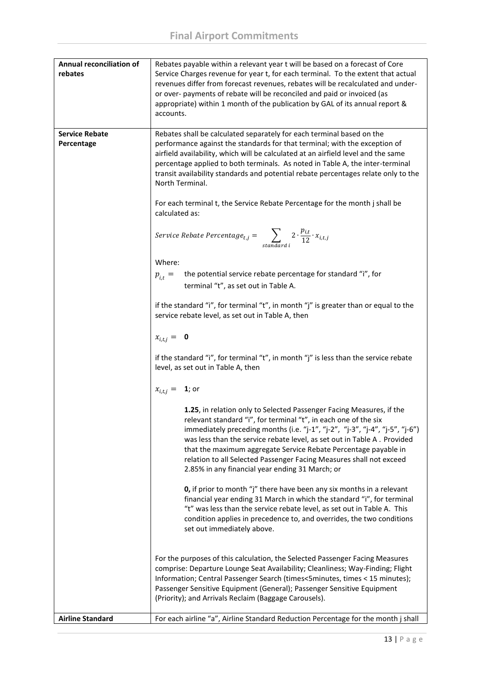| <b>Annual reconciliation of</b><br>rebates | Rebates payable within a relevant year t will be based on a forecast of Core<br>Service Charges revenue for year t, for each terminal. To the extent that actual<br>revenues differ from forecast revenues, rebates will be recalculated and under-<br>or over- payments of rebate will be reconciled and paid or invoiced (as<br>appropriate) within 1 month of the publication by GAL of its annual report &<br>accounts.                                                                                                                                                                                                                                                                                                                                                                                                                                                                                                                                                                                                                                                                                                                                                                                                                                                                                                                                                                                                                                                                                                                                                                                                                                                                                                                                                                                                                               |
|--------------------------------------------|-----------------------------------------------------------------------------------------------------------------------------------------------------------------------------------------------------------------------------------------------------------------------------------------------------------------------------------------------------------------------------------------------------------------------------------------------------------------------------------------------------------------------------------------------------------------------------------------------------------------------------------------------------------------------------------------------------------------------------------------------------------------------------------------------------------------------------------------------------------------------------------------------------------------------------------------------------------------------------------------------------------------------------------------------------------------------------------------------------------------------------------------------------------------------------------------------------------------------------------------------------------------------------------------------------------------------------------------------------------------------------------------------------------------------------------------------------------------------------------------------------------------------------------------------------------------------------------------------------------------------------------------------------------------------------------------------------------------------------------------------------------------------------------------------------------------------------------------------------------|
| <b>Service Rebate</b><br>Percentage        | Rebates shall be calculated separately for each terminal based on the<br>performance against the standards for that terminal; with the exception of<br>airfield availability, which will be calculated at an airfield level and the same<br>percentage applied to both terminals. As noted in Table A, the inter-terminal<br>transit availability standards and potential rebate percentages relate only to the<br>North Terminal.<br>For each terminal t, the Service Rebate Percentage for the month j shall be<br>calculated as:<br>Service Rebate Percentage <sub>t,j</sub> = $\sum_{standard \ i} 2 \cdot \frac{p_{i,t}}{12} \cdot x_{i,t,j}$<br>Where:<br>the potential service rebate percentage for standard "i", for<br>$p_{i,t} =$<br>terminal "t", as set out in Table A.<br>if the standard "i", for terminal "t", in month "j" is greater than or equal to the<br>service rebate level, as set out in Table A, then<br>$x_{i,t,j} = 0$<br>if the standard "i", for terminal "t", in month "j" is less than the service rebate<br>level, as set out in Table A, then<br>$x_{i,t,j} = \mathbf{1}$ ; or<br>1.25, in relation only to Selected Passenger Facing Measures, if the<br>relevant standard "i", for terminal "t", in each one of the six<br>immediately preceding months (i.e. "j-1", "j-2", "j-3", "j-4", "j-5", "j-6")<br>was less than the service rebate level, as set out in Table A. Provided<br>that the maximum aggregate Service Rebate Percentage payable in<br>relation to all Selected Passenger Facing Measures shall not exceed<br>2.85% in any financial year ending 31 March; or<br><b>0,</b> if prior to month "j" there have been any six months in a relevant<br>financial year ending 31 March in which the standard "i", for terminal<br>"t" was less than the service rebate level, as set out in Table A. This |
| <b>Airline Standard</b>                    | condition applies in precedence to, and overrides, the two conditions<br>set out immediately above.<br>For the purposes of this calculation, the Selected Passenger Facing Measures<br>comprise: Departure Lounge Seat Availability; Cleanliness; Way-Finding; Flight<br>Information; Central Passenger Search (times<5minutes, times < 15 minutes);<br>Passenger Sensitive Equipment (General); Passenger Sensitive Equipment<br>(Priority); and Arrivals Reclaim (Baggage Carousels).<br>For each airline "a", Airline Standard Reduction Percentage for the month j shall                                                                                                                                                                                                                                                                                                                                                                                                                                                                                                                                                                                                                                                                                                                                                                                                                                                                                                                                                                                                                                                                                                                                                                                                                                                                              |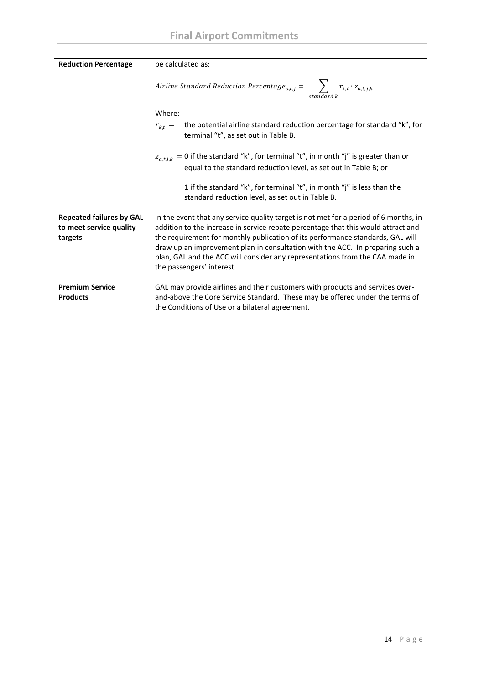| <b>Reduction Percentage</b>                                           | be calculated as:                                                                                                                                                                                                                                                                                                                                                                                                                                         |  |  |
|-----------------------------------------------------------------------|-----------------------------------------------------------------------------------------------------------------------------------------------------------------------------------------------------------------------------------------------------------------------------------------------------------------------------------------------------------------------------------------------------------------------------------------------------------|--|--|
|                                                                       | Airline Standard Reduction Percentage <sub>a,t,j</sub> = $\sum_{k,t} r_{k,t} \cdot z_{a,t,j,k}$<br>standard k                                                                                                                                                                                                                                                                                                                                             |  |  |
|                                                                       | Where:                                                                                                                                                                                                                                                                                                                                                                                                                                                    |  |  |
|                                                                       | the potential airline standard reduction percentage for standard "k", for<br>$r_{k,t} =$<br>terminal "t", as set out in Table B.                                                                                                                                                                                                                                                                                                                          |  |  |
|                                                                       | $z_{a,t,i,k} = 0$ if the standard "k", for terminal "t", in month "j" is greater than or<br>equal to the standard reduction level, as set out in Table B; or                                                                                                                                                                                                                                                                                              |  |  |
|                                                                       | 1 if the standard "k", for terminal "t", in month "j" is less than the<br>standard reduction level, as set out in Table B.                                                                                                                                                                                                                                                                                                                                |  |  |
| <b>Repeated failures by GAL</b><br>to meet service quality<br>targets | In the event that any service quality target is not met for a period of 6 months, in<br>addition to the increase in service rebate percentage that this would attract and<br>the requirement for monthly publication of its performance standards, GAL will<br>draw up an improvement plan in consultation with the ACC. In preparing such a<br>plan, GAL and the ACC will consider any representations from the CAA made in<br>the passengers' interest. |  |  |
| <b>Premium Service</b><br><b>Products</b>                             | GAL may provide airlines and their customers with products and services over-<br>and-above the Core Service Standard. These may be offered under the terms of<br>the Conditions of Use or a bilateral agreement.                                                                                                                                                                                                                                          |  |  |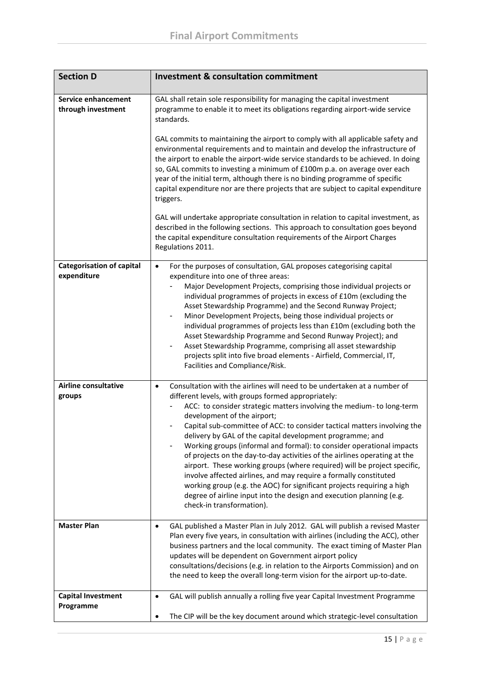| <b>Section D</b>                                | <b>Investment &amp; consultation commitment</b>                                                                                                                                                                                                                                                                                                                                                                                                                                                                                                                                                                                                                                                                                                                                                                                                                                                                                                    |  |
|-------------------------------------------------|----------------------------------------------------------------------------------------------------------------------------------------------------------------------------------------------------------------------------------------------------------------------------------------------------------------------------------------------------------------------------------------------------------------------------------------------------------------------------------------------------------------------------------------------------------------------------------------------------------------------------------------------------------------------------------------------------------------------------------------------------------------------------------------------------------------------------------------------------------------------------------------------------------------------------------------------------|--|
| Service enhancement<br>through investment       | GAL shall retain sole responsibility for managing the capital investment<br>programme to enable it to meet its obligations regarding airport-wide service<br>standards.<br>GAL commits to maintaining the airport to comply with all applicable safety and<br>environmental requirements and to maintain and develop the infrastructure of<br>the airport to enable the airport-wide service standards to be achieved. In doing<br>so, GAL commits to investing a minimum of £100m p.a. on average over each<br>year of the initial term, although there is no binding programme of specific<br>capital expenditure nor are there projects that are subject to capital expenditure<br>triggers.<br>GAL will undertake appropriate consultation in relation to capital investment, as<br>described in the following sections. This approach to consultation goes beyond<br>the capital expenditure consultation requirements of the Airport Charges |  |
| <b>Categorisation of capital</b><br>expenditure | Regulations 2011.<br>For the purposes of consultation, GAL proposes categorising capital<br>$\bullet$<br>expenditure into one of three areas:<br>Major Development Projects, comprising those individual projects or<br>individual programmes of projects in excess of £10m (excluding the<br>Asset Stewardship Programme) and the Second Runway Project;<br>Minor Development Projects, being those individual projects or<br>individual programmes of projects less than £10m (excluding both the<br>Asset Stewardship Programme and Second Runway Project); and<br>Asset Stewardship Programme, comprising all asset stewardship                                                                                                                                                                                                                                                                                                                |  |
|                                                 | projects split into five broad elements - Airfield, Commercial, IT,<br>Facilities and Compliance/Risk.                                                                                                                                                                                                                                                                                                                                                                                                                                                                                                                                                                                                                                                                                                                                                                                                                                             |  |
| <b>Airline consultative</b><br>groups           | Consultation with the airlines will need to be undertaken at a number of<br>$\bullet$<br>different levels, with groups formed appropriately:<br>ACC: to consider strategic matters involving the medium- to long-term<br>development of the airport;<br>Capital sub-committee of ACC: to consider tactical matters involving the<br>$\qquad \qquad \blacksquare$<br>delivery by GAL of the capital development programme; and<br>Working groups (informal and formal): to consider operational impacts<br>of projects on the day-to-day activities of the airlines operating at the<br>airport. These working groups (where required) will be project specific,<br>involve affected airlines, and may require a formally constituted<br>working group (e.g. the AOC) for significant projects requiring a high<br>degree of airline input into the design and execution planning (e.g.<br>check-in transformation).                                |  |
| <b>Master Plan</b>                              | GAL published a Master Plan in July 2012. GAL will publish a revised Master<br>$\bullet$<br>Plan every five years, in consultation with airlines (including the ACC), other<br>business partners and the local community. The exact timing of Master Plan<br>updates will be dependent on Government airport policy<br>consultations/decisions (e.g. in relation to the Airports Commission) and on<br>the need to keep the overall long-term vision for the airport up-to-date.                                                                                                                                                                                                                                                                                                                                                                                                                                                                   |  |
| <b>Capital Investment</b><br>Programme          | GAL will publish annually a rolling five year Capital Investment Programme<br>$\bullet$<br>The CIP will be the key document around which strategic-level consultation<br>٠                                                                                                                                                                                                                                                                                                                                                                                                                                                                                                                                                                                                                                                                                                                                                                         |  |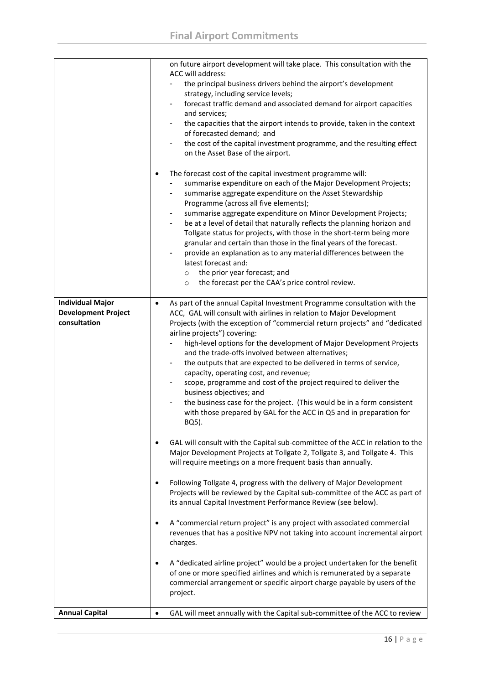|                            | on future airport development will take place. This consultation with the<br>ACC will address:<br>the principal business drivers behind the airport's development                                                                                                                                                                                                                                                                                                                                                                                                                                                                                                                                                                                                        |
|----------------------------|--------------------------------------------------------------------------------------------------------------------------------------------------------------------------------------------------------------------------------------------------------------------------------------------------------------------------------------------------------------------------------------------------------------------------------------------------------------------------------------------------------------------------------------------------------------------------------------------------------------------------------------------------------------------------------------------------------------------------------------------------------------------------|
|                            | strategy, including service levels;<br>forecast traffic demand and associated demand for airport capacities<br>$\overline{\phantom{a}}$                                                                                                                                                                                                                                                                                                                                                                                                                                                                                                                                                                                                                                  |
|                            | and services;<br>the capacities that the airport intends to provide, taken in the context<br>٠<br>of forecasted demand; and                                                                                                                                                                                                                                                                                                                                                                                                                                                                                                                                                                                                                                              |
|                            | the cost of the capital investment programme, and the resulting effect<br>$\blacksquare$<br>on the Asset Base of the airport.                                                                                                                                                                                                                                                                                                                                                                                                                                                                                                                                                                                                                                            |
|                            | The forecast cost of the capital investment programme will:<br>$\bullet$<br>summarise expenditure on each of the Major Development Projects;<br>summarise aggregate expenditure on the Asset Stewardship<br>Programme (across all five elements);<br>summarise aggregate expenditure on Minor Development Projects;<br>be at a level of detail that naturally reflects the planning horizon and<br>$\blacksquare$<br>Tollgate status for projects, with those in the short-term being more<br>granular and certain than those in the final years of the forecast.<br>provide an explanation as to any material differences between the<br>latest forecast and:<br>the prior year forecast; and<br>$\circ$<br>the forecast per the CAA's price control review.<br>$\circ$ |
| <b>Individual Major</b>    | As part of the annual Capital Investment Programme consultation with the<br>$\bullet$                                                                                                                                                                                                                                                                                                                                                                                                                                                                                                                                                                                                                                                                                    |
| <b>Development Project</b> | ACC, GAL will consult with airlines in relation to Major Development                                                                                                                                                                                                                                                                                                                                                                                                                                                                                                                                                                                                                                                                                                     |
| consultation               | Projects (with the exception of "commercial return projects" and "dedicated<br>airline projects") covering:                                                                                                                                                                                                                                                                                                                                                                                                                                                                                                                                                                                                                                                              |
|                            | high-level options for the development of Major Development Projects<br>$\blacksquare$                                                                                                                                                                                                                                                                                                                                                                                                                                                                                                                                                                                                                                                                                   |
|                            | and the trade-offs involved between alternatives;<br>the outputs that are expected to be delivered in terms of service,<br>$\overline{\phantom{a}}$                                                                                                                                                                                                                                                                                                                                                                                                                                                                                                                                                                                                                      |
|                            | capacity, operating cost, and revenue;                                                                                                                                                                                                                                                                                                                                                                                                                                                                                                                                                                                                                                                                                                                                   |
|                            | scope, programme and cost of the project required to deliver the<br>$\blacksquare$                                                                                                                                                                                                                                                                                                                                                                                                                                                                                                                                                                                                                                                                                       |
|                            | business objectives; and<br>the business case for the project. (This would be in a form consistent<br>$\blacksquare$                                                                                                                                                                                                                                                                                                                                                                                                                                                                                                                                                                                                                                                     |
|                            | with those prepared by GAL for the ACC in Q5 and in preparation for<br>BQ5).                                                                                                                                                                                                                                                                                                                                                                                                                                                                                                                                                                                                                                                                                             |
|                            | GAL will consult with the Capital sub-committee of the ACC in relation to the<br>$\bullet$<br>Major Development Projects at Tollgate 2, Tollgate 3, and Tollgate 4. This<br>will require meetings on a more frequent basis than annually.                                                                                                                                                                                                                                                                                                                                                                                                                                                                                                                                |
|                            | Following Tollgate 4, progress with the delivery of Major Development<br>$\bullet$<br>Projects will be reviewed by the Capital sub-committee of the ACC as part of<br>its annual Capital Investment Performance Review (see below).                                                                                                                                                                                                                                                                                                                                                                                                                                                                                                                                      |
|                            | A "commercial return project" is any project with associated commercial<br>$\bullet$<br>revenues that has a positive NPV not taking into account incremental airport<br>charges.                                                                                                                                                                                                                                                                                                                                                                                                                                                                                                                                                                                         |
|                            | A "dedicated airline project" would be a project undertaken for the benefit<br>$\bullet$<br>of one or more specified airlines and which is remunerated by a separate<br>commercial arrangement or specific airport charge payable by users of the<br>project.                                                                                                                                                                                                                                                                                                                                                                                                                                                                                                            |
| <b>Annual Capital</b>      | GAL will meet annually with the Capital sub-committee of the ACC to review<br>$\bullet$                                                                                                                                                                                                                                                                                                                                                                                                                                                                                                                                                                                                                                                                                  |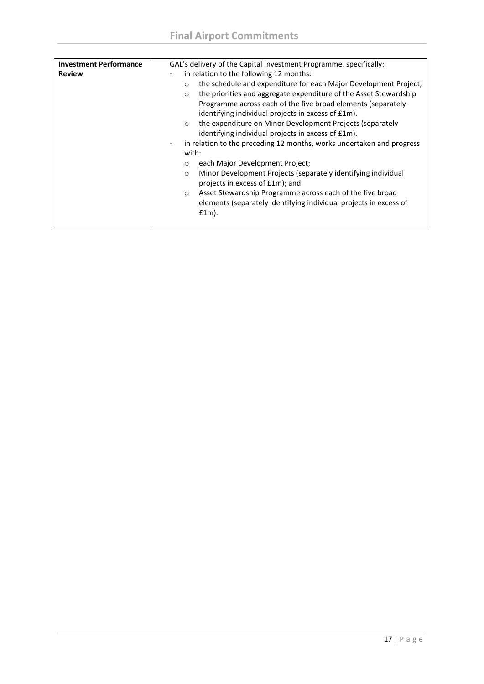| <b>Review</b><br>in relation to the following 12 months:<br>$\circ$<br>the priorities and aggregate expenditure of the Asset Stewardship<br>$\circ$                                                                                                                                                                                                                                                                                                                                                | <b>Investment Performance</b> | GAL's delivery of the Capital Investment Programme, specifically:                                                                                                                                                     |
|----------------------------------------------------------------------------------------------------------------------------------------------------------------------------------------------------------------------------------------------------------------------------------------------------------------------------------------------------------------------------------------------------------------------------------------------------------------------------------------------------|-------------------------------|-----------------------------------------------------------------------------------------------------------------------------------------------------------------------------------------------------------------------|
| identifying individual projects in excess of £1m).<br>the expenditure on Minor Development Projects (separately<br>$\circ$<br>identifying individual projects in excess of £1m).<br>۰<br>with:<br>each Major Development Project;<br>O<br>Minor Development Projects (separately identifying individual<br>$\circ$<br>projects in excess of £1m); and<br>Asset Stewardship Programme across each of the five broad<br>$\circ$<br>elements (separately identifying individual projects in excess of |                               | the schedule and expenditure for each Major Development Project;<br>Programme across each of the five broad elements (separately<br>in relation to the preceding 12 months, works undertaken and progress<br>$f1m$ ). |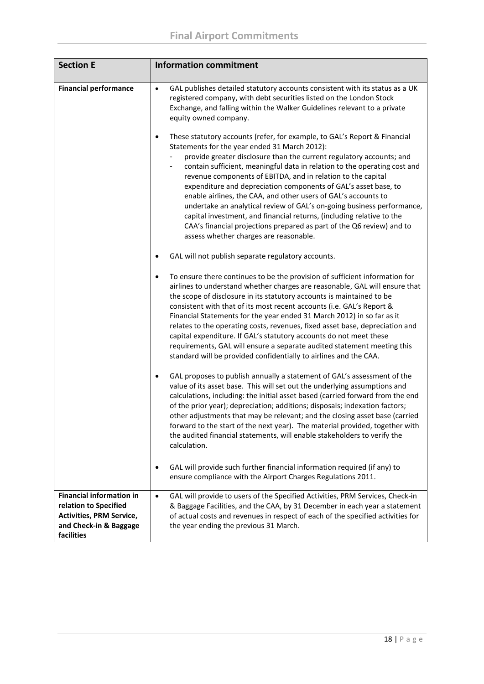| <b>Section E</b>                                                                                                             | <b>Information commitment</b>                                                                                                                                                                                                                                                                                                                                                                                                                                                                                                                                                                                                                                                                                                                                           |  |
|------------------------------------------------------------------------------------------------------------------------------|-------------------------------------------------------------------------------------------------------------------------------------------------------------------------------------------------------------------------------------------------------------------------------------------------------------------------------------------------------------------------------------------------------------------------------------------------------------------------------------------------------------------------------------------------------------------------------------------------------------------------------------------------------------------------------------------------------------------------------------------------------------------------|--|
| <b>Financial performance</b>                                                                                                 | GAL publishes detailed statutory accounts consistent with its status as a UK<br>$\bullet$<br>registered company, with debt securities listed on the London Stock<br>Exchange, and falling within the Walker Guidelines relevant to a private<br>equity owned company.                                                                                                                                                                                                                                                                                                                                                                                                                                                                                                   |  |
|                                                                                                                              | These statutory accounts (refer, for example, to GAL's Report & Financial<br>$\bullet$<br>Statements for the year ended 31 March 2012):<br>provide greater disclosure than the current regulatory accounts; and<br>contain sufficient, meaningful data in relation to the operating cost and<br>revenue components of EBITDA, and in relation to the capital<br>expenditure and depreciation components of GAL's asset base, to<br>enable airlines, the CAA, and other users of GAL's accounts to<br>undertake an analytical review of GAL's on-going business performance,<br>capital investment, and financial returns, (including relative to the<br>CAA's financial projections prepared as part of the Q6 review) and to<br>assess whether charges are reasonable. |  |
|                                                                                                                              | GAL will not publish separate regulatory accounts.<br>$\bullet$                                                                                                                                                                                                                                                                                                                                                                                                                                                                                                                                                                                                                                                                                                         |  |
|                                                                                                                              | To ensure there continues to be the provision of sufficient information for<br>$\bullet$<br>airlines to understand whether charges are reasonable, GAL will ensure that<br>the scope of disclosure in its statutory accounts is maintained to be<br>consistent with that of its most recent accounts (i.e. GAL's Report &<br>Financial Statements for the year ended 31 March 2012) in so far as it<br>relates to the operating costs, revenues, fixed asset base, depreciation and<br>capital expenditure. If GAL's statutory accounts do not meet these<br>requirements, GAL will ensure a separate audited statement meeting this<br>standard will be provided confidentially to airlines and the CAA.                                                               |  |
|                                                                                                                              | GAL proposes to publish annually a statement of GAL's assessment of the<br>$\bullet$<br>value of its asset base. This will set out the underlying assumptions and<br>calculations, including: the initial asset based (carried forward from the end<br>of the prior year); depreciation; additions; disposals; indexation factors;<br>other adjustments that may be relevant; and the closing asset base (carried<br>forward to the start of the next year). The material provided, together with<br>the audited financial statements, will enable stakeholders to verify the<br>calculation.                                                                                                                                                                           |  |
|                                                                                                                              | GAL will provide such further financial information required (if any) to<br>$\bullet$<br>ensure compliance with the Airport Charges Regulations 2011.                                                                                                                                                                                                                                                                                                                                                                                                                                                                                                                                                                                                                   |  |
| <b>Financial information in</b><br>relation to Specified<br>Activities, PRM Service,<br>and Check-in & Baggage<br>facilities | GAL will provide to users of the Specified Activities, PRM Services, Check-in<br>$\bullet$<br>& Baggage Facilities, and the CAA, by 31 December in each year a statement<br>of actual costs and revenues in respect of each of the specified activities for<br>the year ending the previous 31 March.                                                                                                                                                                                                                                                                                                                                                                                                                                                                   |  |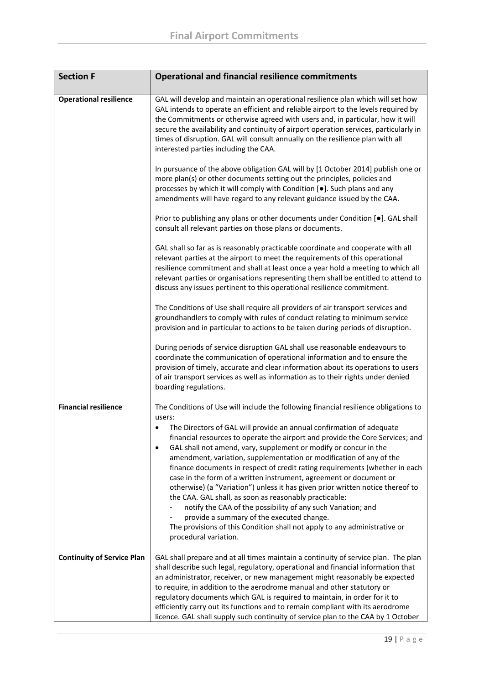| <b>Section F</b>                  | <b>Operational and financial resilience commitments</b>                                                                                                                                                                                                                                                                                                                                                                                                                                                                                                                                                                                                                                                                                                                                                                                                                                                                             |
|-----------------------------------|-------------------------------------------------------------------------------------------------------------------------------------------------------------------------------------------------------------------------------------------------------------------------------------------------------------------------------------------------------------------------------------------------------------------------------------------------------------------------------------------------------------------------------------------------------------------------------------------------------------------------------------------------------------------------------------------------------------------------------------------------------------------------------------------------------------------------------------------------------------------------------------------------------------------------------------|
| <b>Operational resilience</b>     | GAL will develop and maintain an operational resilience plan which will set how<br>GAL intends to operate an efficient and reliable airport to the levels required by<br>the Commitments or otherwise agreed with users and, in particular, how it will<br>secure the availability and continuity of airport operation services, particularly in<br>times of disruption. GAL will consult annually on the resilience plan with all<br>interested parties including the CAA.                                                                                                                                                                                                                                                                                                                                                                                                                                                         |
|                                   | In pursuance of the above obligation GAL will by [1 October 2014] publish one or<br>more plan(s) or other documents setting out the principles, policies and<br>processes by which it will comply with Condition [.]. Such plans and any<br>amendments will have regard to any relevant guidance issued by the CAA.                                                                                                                                                                                                                                                                                                                                                                                                                                                                                                                                                                                                                 |
|                                   | Prior to publishing any plans or other documents under Condition [.]. GAL shall<br>consult all relevant parties on those plans or documents.                                                                                                                                                                                                                                                                                                                                                                                                                                                                                                                                                                                                                                                                                                                                                                                        |
|                                   | GAL shall so far as is reasonably practicable coordinate and cooperate with all<br>relevant parties at the airport to meet the requirements of this operational<br>resilience commitment and shall at least once a year hold a meeting to which all<br>relevant parties or organisations representing them shall be entitled to attend to<br>discuss any issues pertinent to this operational resilience commitment.                                                                                                                                                                                                                                                                                                                                                                                                                                                                                                                |
|                                   | The Conditions of Use shall require all providers of air transport services and<br>groundhandlers to comply with rules of conduct relating to minimum service<br>provision and in particular to actions to be taken during periods of disruption.                                                                                                                                                                                                                                                                                                                                                                                                                                                                                                                                                                                                                                                                                   |
|                                   | During periods of service disruption GAL shall use reasonable endeavours to<br>coordinate the communication of operational information and to ensure the<br>provision of timely, accurate and clear information about its operations to users<br>of air transport services as well as information as to their rights under denied<br>boarding regulations.                                                                                                                                                                                                                                                                                                                                                                                                                                                                                                                                                                          |
| <b>Financial resilience</b>       | The Conditions of Use will include the following financial resilience obligations to<br>users:<br>The Directors of GAL will provide an annual confirmation of adequate<br>financial resources to operate the airport and provide the Core Services; and<br>GAL shall not amend, vary, supplement or modify or concur in the<br>$\bullet$<br>amendment, variation, supplementation or modification of any of the<br>finance documents in respect of credit rating requirements (whether in each<br>case in the form of a written instrument, agreement or document or<br>otherwise) (a "Variation") unless it has given prior written notice thereof to<br>the CAA. GAL shall, as soon as reasonably practicable:<br>notify the CAA of the possibility of any such Variation; and<br>provide a summary of the executed change.<br>The provisions of this Condition shall not apply to any administrative or<br>procedural variation. |
| <b>Continuity of Service Plan</b> | GAL shall prepare and at all times maintain a continuity of service plan. The plan<br>shall describe such legal, regulatory, operational and financial information that<br>an administrator, receiver, or new management might reasonably be expected<br>to require, in addition to the aerodrome manual and other statutory or<br>regulatory documents which GAL is required to maintain, in order for it to<br>efficiently carry out its functions and to remain compliant with its aerodrome<br>licence. GAL shall supply such continuity of service plan to the CAA by 1 October                                                                                                                                                                                                                                                                                                                                                |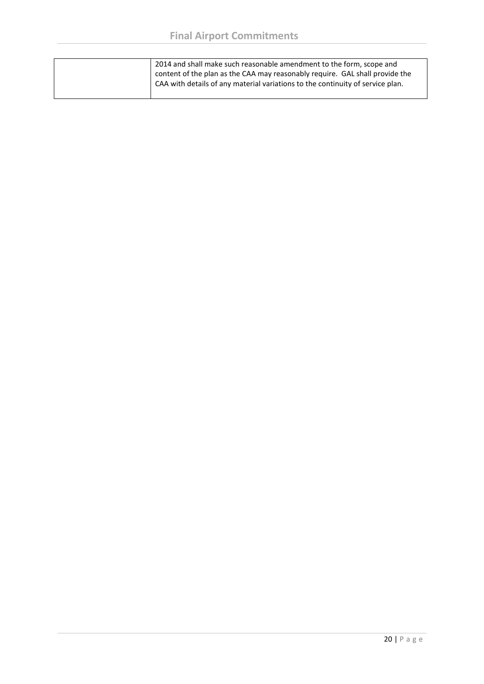| 2014 and shall make such reasonable amendment to the form, scope and<br>content of the plan as the CAA may reasonably require. GAL shall provide the<br>CAA with details of any material variations to the continuity of service plan. |
|----------------------------------------------------------------------------------------------------------------------------------------------------------------------------------------------------------------------------------------|
|                                                                                                                                                                                                                                        |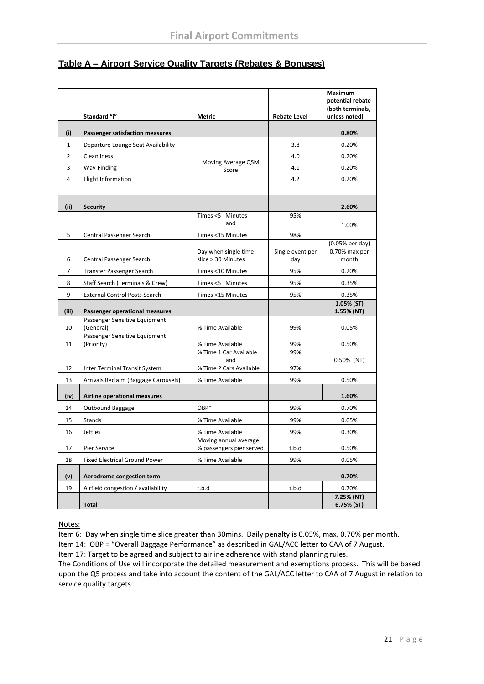## **Table A – Airport Service Quality Targets (Rebates & Bonuses)**

|                |                                             |                                                          |                         | Maximum<br>potential rebate<br>(both terminals, |
|----------------|---------------------------------------------|----------------------------------------------------------|-------------------------|-------------------------------------------------|
|                | Standard "i"                                | Metric                                                   | <b>Rebate Level</b>     | unless noted)                                   |
| (i)            | <b>Passenger satisfaction measures</b>      |                                                          |                         | 0.80%                                           |
| $\mathbf{1}$   | Departure Lounge Seat Availability          |                                                          | 3.8                     | 0.20%                                           |
| 2              | Cleanliness                                 |                                                          | 4.0                     | 0.20%                                           |
| 3              | Way-Finding                                 | Moving Average QSM<br>Score                              | 4.1                     | 0.20%                                           |
| 4              | Flight Information                          |                                                          | 4.2                     | 0.20%                                           |
| (ii)           | <b>Security</b>                             |                                                          |                         | 2.60%                                           |
|                |                                             | Times <5 Minutes<br>and                                  | 95%                     | 1.00%                                           |
| 5              | Central Passenger Search                    | Times <15 Minutes                                        | 98%                     |                                                 |
| 6              | Central Passenger Search                    | Day when single time<br>slice > 30 Minutes               | Single event per<br>day | $(0.05%$ per day)<br>0.70% max per<br>month     |
| $\overline{7}$ | Transfer Passenger Search                   | Times <10 Minutes                                        | 95%                     | 0.20%                                           |
| 8              | Staff Search (Terminals & Crew)             | Times <5 Minutes                                         | 95%                     | 0.35%                                           |
| 9              | <b>External Control Posts Search</b>        | Times <15 Minutes                                        | 95%                     | 0.35%                                           |
| (iii)          | Passenger operational measures              |                                                          |                         | 1.05% (ST)<br>1.55% (NT)                        |
| 10             | Passenger Sensitive Equipment<br>(General)  | % Time Available                                         | 99%                     | 0.05%                                           |
| 11             | Passenger Sensitive Equipment<br>(Priority) | % Time Available                                         | 99%                     | 0.50%                                           |
| 12             | Inter Terminal Transit System               | % Time 1 Car Available<br>and<br>% Time 2 Cars Available | 99%<br>97%              | $0.50\%$ (NT)                                   |
| 13             | Arrivals Reclaim (Baggage Carousels)        | % Time Available                                         | 99%                     | 0.50%                                           |
|                |                                             |                                                          |                         |                                                 |
| (iv)           | Airline operational measures                |                                                          |                         | 1.60%                                           |
| 14             | Outbound Baggage                            | OBP*                                                     | 99%                     | 0.70%                                           |
| 15             | Stands                                      | % Time Available                                         | 99%                     | 0.05%                                           |
| 16             | Jetties                                     | % Time Available                                         | 99%                     | 0.30%                                           |
| 17             | Pier Service                                | Moving annual average<br>% passengers pier served        | t.b.d                   | 0.50%                                           |
| 18             | <b>Fixed Electrical Ground Power</b>        | % Time Available                                         | 99%                     | 0.05%                                           |
| (v)            | Aerodrome congestion term                   |                                                          |                         | 0.70%                                           |
| 19             | Airfield congestion / availability          | t.b.d                                                    | t.b.d                   | 0.70%                                           |
|                | <b>Total</b>                                |                                                          |                         | 7.25% (NT)<br>6.75% (ST)                        |

Notes:

Item 6: Day when single time slice greater than 30mins. Daily penalty is 0.05%, max. 0.70% per month.

Item 14: OBP = "Overall Baggage Performance" as described in GAL/ACC letter to CAA of 7 August.

Item 17: Target to be agreed and subject to airline adherence with stand planning rules. The Conditions of Use will incorporate the detailed measurement and exemptions process. This will be based upon the Q5 process and take into account the content of the GAL/ACC letter to CAA of 7 August in relation to

service quality targets.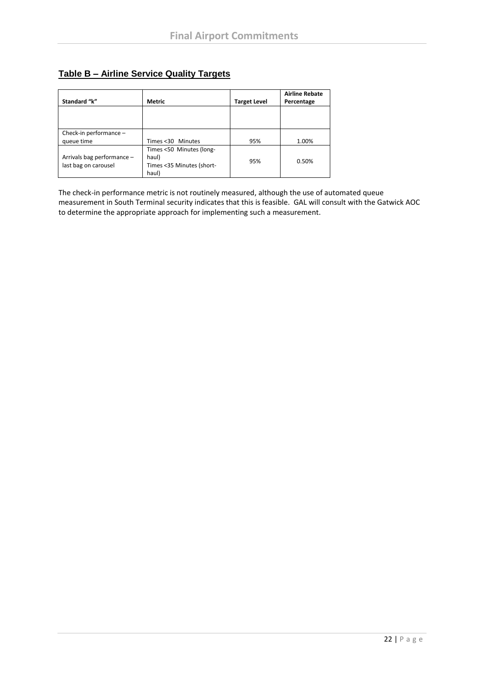## **Table B – Airline Service Quality Targets**

| Standard "k"                                       | <b>Metric</b>                                                           | <b>Target Level</b> | <b>Airline Rebate</b><br>Percentage |
|----------------------------------------------------|-------------------------------------------------------------------------|---------------------|-------------------------------------|
|                                                    |                                                                         |                     |                                     |
| Check-in performance -                             |                                                                         |                     |                                     |
| queue time                                         | Times <30 Minutes                                                       | 95%                 | 1.00%                               |
| Arrivals bag performance -<br>last bag on carousel | Times <50 Minutes (long-<br>haul)<br>Times <35 Minutes (short-<br>haul) | 95%                 | 0.50%                               |

The check-in performance metric is not routinely measured, although the use of automated queue measurement in South Terminal security indicates that this is feasible. GAL will consult with the Gatwick AOC to determine the appropriate approach for implementing such a measurement.